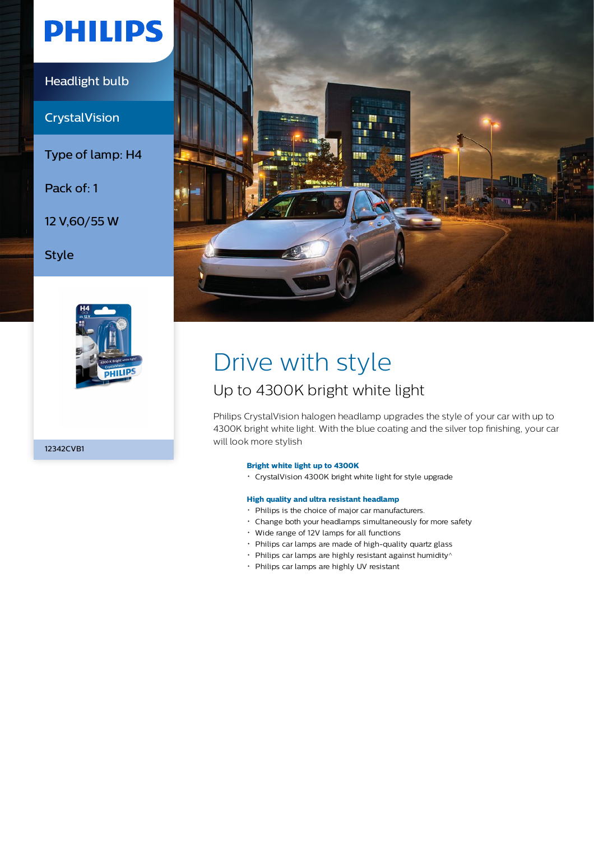# **PHILIPS**

Headlight bulb

**CrystalVision** 

Type of lamp: H4

Pack of: 1

12 V,60/55 W

Style



12342CVB1



# Drive with style

## Up to 4300K bright white light

Philips CrystalVision halogen headlamp upgrades the style of your car with up to 4300K bright white light. With the blue coating and the silver top finishing, your car will look more stylish

### **Bright white light up to 4300K**

CrystalVision 4300K bright white light for style upgrade

### **High quality and ultra resistant headlamp**

- Philips is the choice of major car manufacturers.
- Change both your headlamps simultaneously for more safety
- Wide range of 12V lamps for all functions
- Philips car lamps are made of high-quality quartz glass
- $\cdot$  Philips car lamps are highly resistant against humidity $\wedge$
- Philips car lamps are highly UV resistant